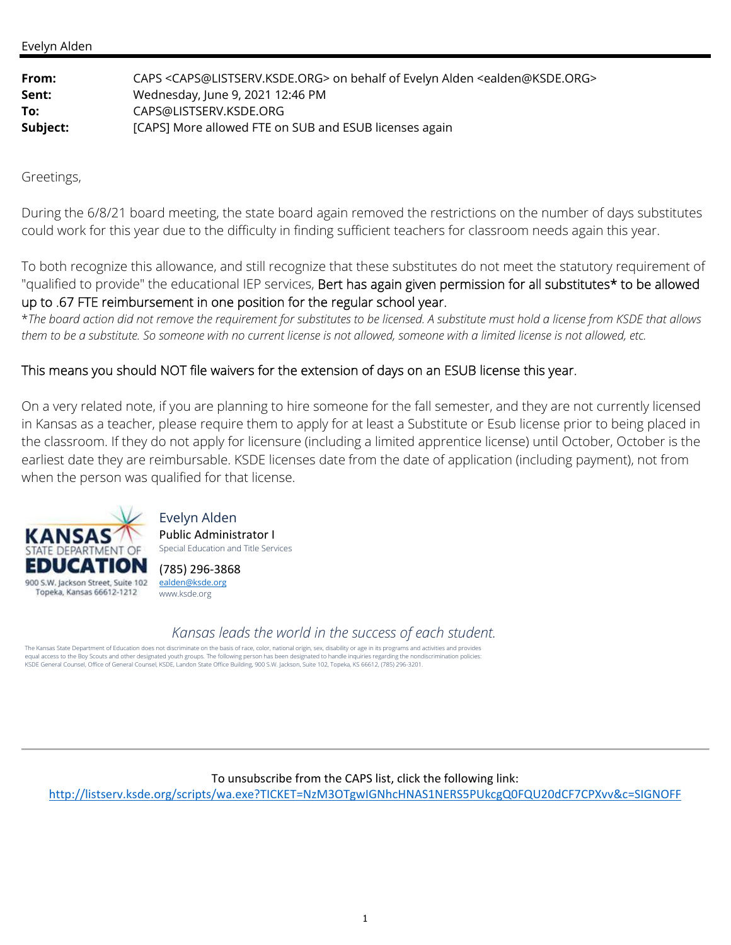| From:    | CAPS <caps@listserv.ksde.org> on behalf of Evelyn Alden <ealden@ksde.org></ealden@ksde.org></caps@listserv.ksde.org> |
|----------|----------------------------------------------------------------------------------------------------------------------|
| Sent:    | Wednesday, June 9, 2021 12:46 PM                                                                                     |
| To:      | CAPS@LISTSERV.KSDE.ORG                                                                                               |
| Subject: | [CAPS] More allowed FTE on SUB and ESUB licenses again                                                               |

Greetings,

During the 6/8/21 board meeting, the state board again removed the restrictions on the number of days substitutes could work for this year due to the difficulty in finding sufficient teachers for classroom needs again this year.

To both recognize this allowance, and still recognize that these substitutes do not meet the statutory requirement of "qualified to provide" the educational IEP services, Bert has again given permission for all substitutes\* to be allowed up to .67 FTE reimbursement in one position for the regular school year.

\**The board action did not remove the requirement for substitutes to be licensed. A substitute must hold a license from KSDE that allows them to be a substitute. So someone with no current license is not allowed, someone with a limited license is not allowed, etc.*

# This means you should NOT file waivers for the extension of days on an ESUB license this year.

On a very related note, if you are planning to hire someone for the fall semester, and they are not currently licensed in Kansas as a teacher, please require them to apply for at least a Substitute or Esub license prior to being placed in the classroom. If they do not apply for licensure (including a limited apprentice license) until October, October is the earliest date they are reimbursable. KSDE licenses date from the date of application (including payment), not from when the person was qualified for that license.



Evelyn Alden Public Administrator I Special Education and Title Services

(785) 296‐3868 ealden@ksde.org www.ksde.org

*Kansas leads the world in the success of each student.*

The Kansas State Department of Education does not discriminate on the basis of race, color, national origin, sex, disability or age in its programs and activities and provides equal access to the Boy Scouts and other designated youth groups. The following person has been designated to handle inquiries regarding the nondiscrimination policies:<br>KSDE General Counsel, Office of General Counsel, KSDE

#### To unsubscribe from the CAPS list, click the following link:

http://listserv.ksde.org/scripts/wa.exe?TICKET=NzM3OTgwIGNhcHNAS1NERS5PUkcgQ0FQU20dCF7CPXvv&c=SIGNOFF